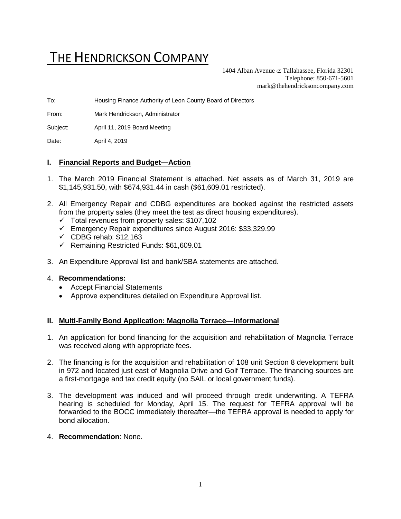# THE HENDRICKSON COMPANY

1404 Alban Avenue  $\sigma$  Tallahassee, Florida 32301 Telephone: 850-671-5601 [mark@thehendricksoncompany.com](mailto:mark@thehendricksoncompany.com)

To: Housing Finance Authority of Leon County Board of Directors

From: Mark Hendrickson, Administrator

Subject: April 11, 2019 Board Meeting

Date: April 4, 2019

## **I. Financial Reports and Budget—Action**

- 1. The March 2019 Financial Statement is attached. Net assets as of March 31, 2019 are \$1,145,931.50, with \$674,931.44 in cash (\$61,609.01 restricted).
- 2. All Emergency Repair and CDBG expenditures are booked against the restricted assets from the property sales (they meet the test as direct housing expenditures).
	- $\checkmark$  Total revenues from property sales: \$107,102
	- ✓ Emergency Repair expenditures since August 2016: \$33,329.99
	- $\checkmark$  CDBG rehab: \$12,163
	- ✓ Remaining Restricted Funds: \$61,609.01
- 3. An Expenditure Approval list and bank/SBA statements are attached.

## 4. **Recommendations:**

- Accept Financial Statements
- Approve expenditures detailed on Expenditure Approval list.

## **II. Multi-Family Bond Application: Magnolia Terrace—Informational**

- 1. An application for bond financing for the acquisition and rehabilitation of Magnolia Terrace was received along with appropriate fees.
- 2. The financing is for the acquisition and rehabilitation of 108 unit Section 8 development built in 972 and located just east of Magnolia Drive and Golf Terrace. The financing sources are a first-mortgage and tax credit equity (no SAIL or local government funds).
- 3. The development was induced and will proceed through credit underwriting. A TEFRA hearing is scheduled for Monday, April 15. The request for TEFRA approval will be forwarded to the BOCC immediately thereafter—the TEFRA approval is needed to apply for bond allocation.
- 4. **Recommendation**: None.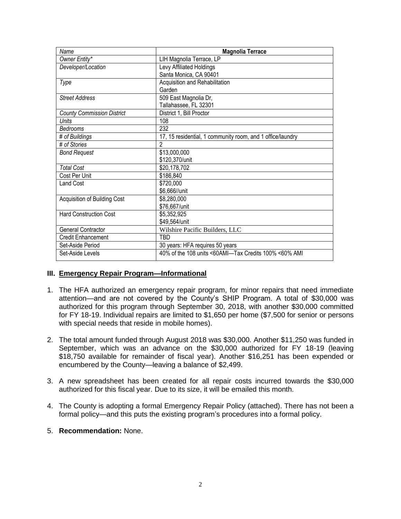| Name                              | <b>Magnolia Terrace</b>                                    |
|-----------------------------------|------------------------------------------------------------|
| Owner Entity*                     | LIH Magnolia Terrace, LP                                   |
| Developer/Location                | Levy Affiliated Holdings                                   |
|                                   | Santa Monica, CA 90401                                     |
| Type                              | Acquisition and Rehabilitation                             |
|                                   | Garden                                                     |
| <b>Street Address</b>             | 509 East Magnolia Dr,                                      |
|                                   | Tallahassee, FL 32301                                      |
| <b>County Commission District</b> | District 1, Bill Proctor                                   |
| Units                             | 108                                                        |
| Bedrooms                          | 232                                                        |
| # of Buildings                    | 17, 15 residential, 1 community room, and 1 office/laundry |
| # of Stories                      | 2                                                          |
| <b>Bond Request</b>               | \$13,000,000                                               |
|                                   | \$120,370/unit                                             |
| <b>Total Cost</b>                 | \$20,178,702                                               |
| Cost Per Unit                     | \$186,840                                                  |
| <b>Land Cost</b>                  | \$720,000                                                  |
|                                   | \$6,666//unit                                              |
| Acquisition of Building Cost      | \$8,280,000                                                |
|                                   | \$76,667/unit                                              |
| <b>Hard Construction Cost</b>     | \$5,352,925                                                |
|                                   | \$49,564/unit                                              |
| <b>General Contractor</b>         | Wilshire Pacific Builders, LLC                             |
| Credit Enhancement                | TBD                                                        |
| Set-Aside Period                  | 30 years: HFA requires 50 years                            |
| Set-Aside Levels                  | 40% of the 108 units <60AMI-Tax Credits 100% <60% AMI      |

## **III. Emergency Repair Program—Informational**

- 1. The HFA authorized an emergency repair program, for minor repairs that need immediate attention—and are not covered by the County's SHIP Program. A total of \$30,000 was authorized for this program through September 30, 2018, with another \$30,000 committed for FY 18-19. Individual repairs are limited to \$1,650 per home (\$7,500 for senior or persons with special needs that reside in mobile homes).
- 2. The total amount funded through August 2018 was \$30,000. Another \$11,250 was funded in September, which was an advance on the \$30,000 authorized for FY 18-19 (leaving \$18,750 available for remainder of fiscal year). Another \$16,251 has been expended or encumbered by the County—leaving a balance of \$2,499.
- 3. A new spreadsheet has been created for all repair costs incurred towards the \$30,000 authorized for this fiscal year. Due to its size, it will be emailed this month.
- 4. The County is adopting a formal Emergency Repair Policy (attached). There has not been a formal policy—and this puts the existing program's procedures into a formal policy.
- 5. **Recommendation:** None.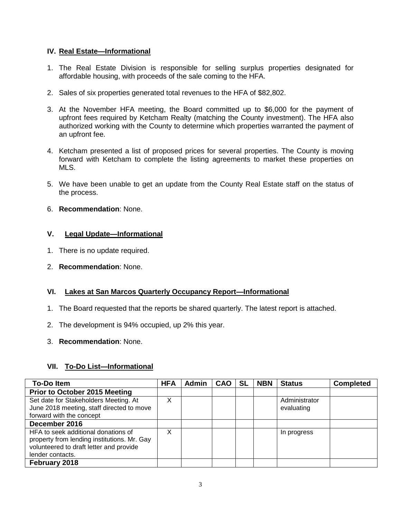## **IV. Real Estate—Informational**

- 1. The Real Estate Division is responsible for selling surplus properties designated for affordable housing, with proceeds of the sale coming to the HFA.
- 2. Sales of six properties generated total revenues to the HFA of \$82,802.
- 3. At the November HFA meeting, the Board committed up to \$6,000 for the payment of upfront fees required by Ketcham Realty (matching the County investment). The HFA also authorized working with the County to determine which properties warranted the payment of an upfront fee.
- 4. Ketcham presented a list of proposed prices for several properties. The County is moving forward with Ketcham to complete the listing agreements to market these properties on MLS.
- 5. We have been unable to get an update from the County Real Estate staff on the status of the process.
- 6. **Recommendation**: None.

## **V. Legal Update—Informational**

- 1. There is no update required.
- 2. **Recommendation**: None.

## **VI. Lakes at San Marcos Quarterly Occupancy Report—Informational**

- 1. The Board requested that the reports be shared quarterly. The latest report is attached.
- 2. The development is 94% occupied, up 2% this year.
- 3. **Recommendation**: None.

## **VII. To-Do List—Informational**

| <b>To-Do Item</b>                                                                                                                                 | <b>HFA</b> | <b>Admin</b> | <b>CAO</b> | <b>SL</b> | <b>NBN</b> | <b>Status</b>               | <b>Completed</b> |
|---------------------------------------------------------------------------------------------------------------------------------------------------|------------|--------------|------------|-----------|------------|-----------------------------|------------------|
| Prior to October 2015 Meeting                                                                                                                     |            |              |            |           |            |                             |                  |
| Set date for Stakeholders Meeting. At<br>June 2018 meeting, staff directed to move<br>forward with the concept                                    | Χ          |              |            |           |            | Administrator<br>evaluating |                  |
| December 2016                                                                                                                                     |            |              |            |           |            |                             |                  |
| HFA to seek additional donations of<br>property from lending institutions. Mr. Gay<br>volunteered to draft letter and provide<br>lender contacts. | Χ          |              |            |           |            | In progress                 |                  |
| February 2018                                                                                                                                     |            |              |            |           |            |                             |                  |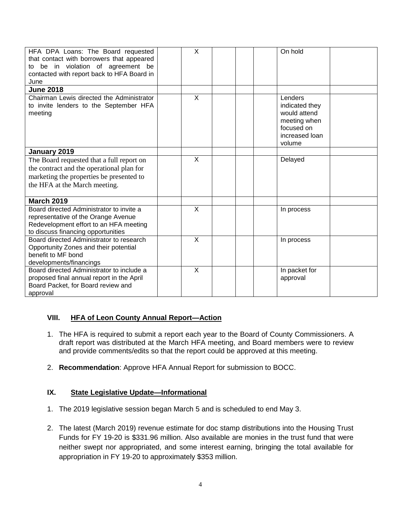| HFA DPA Loans: The Board requested<br>that contact with borrowers that appeared<br>to be in violation of agreement be<br>contacted with report back to HFA Board in<br>June | $\times$       | On hold                                                                                             |
|-----------------------------------------------------------------------------------------------------------------------------------------------------------------------------|----------------|-----------------------------------------------------------------------------------------------------|
| <b>June 2018</b>                                                                                                                                                            |                |                                                                                                     |
| Chairman Lewis directed the Administrator<br>to invite lenders to the September HFA<br>meeting                                                                              | X              | Lenders<br>indicated they<br>would attend<br>meeting when<br>focused on<br>increased loan<br>volume |
| January 2019                                                                                                                                                                |                |                                                                                                     |
| The Board requested that a full report on<br>the contract and the operational plan for<br>marketing the properties be presented to<br>the HFA at the March meeting.         | X              | Delayed                                                                                             |
| <b>March 2019</b>                                                                                                                                                           |                |                                                                                                     |
| Board directed Administrator to invite a<br>representative of the Orange Avenue<br>Redevelopment effort to an HFA meeting<br>to discuss financing opportunities             | X              | In process                                                                                          |
| Board directed Administrator to research<br>Opportunity Zones and their potential<br>benefit to MF bond<br>developments/financings                                          | $\sf X$        | In process                                                                                          |
| Board directed Administrator to include a<br>proposed final annual report in the April<br>Board Packet, for Board review and<br>approval                                    | $\overline{X}$ | In packet for<br>approval                                                                           |

# **VIII. HFA of Leon County Annual Report—Action**

- 1. The HFA is required to submit a report each year to the Board of County Commissioners. A draft report was distributed at the March HFA meeting, and Board members were to review and provide comments/edits so that the report could be approved at this meeting.
- 2. **Recommendation**: Approve HFA Annual Report for submission to BOCC.

# **IX. State Legislative Update—Informational**

- 1. The 2019 legislative session began March 5 and is scheduled to end May 3.
- 2. The latest (March 2019) revenue estimate for doc stamp distributions into the Housing Trust Funds for FY 19-20 is \$331.96 million. Also available are monies in the trust fund that were neither swept nor appropriated, and some interest earning, bringing the total available for appropriation in FY 19-20 to approximately \$353 million.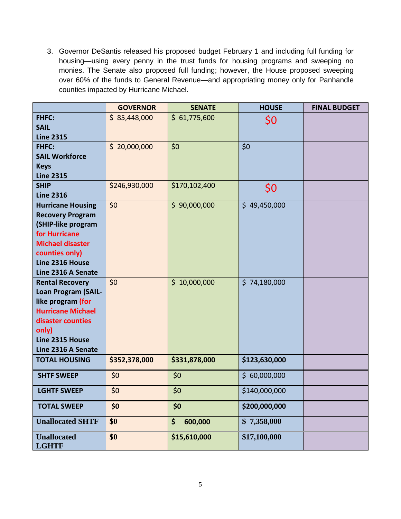3. Governor DeSantis released his proposed budget February 1 and including full funding for housing—using every penny in the trust funds for housing programs and sweeping no monies. The Senate also proposed full funding; however, the House proposed sweeping over 60% of the funds to General Revenue—and appropriating money only for Panhandle counties impacted by Hurricane Michael.

|                                    | <b>GOVERNOR</b> | <b>SENATE</b>       | <b>HOUSE</b>  | <b>FINAL BUDGET</b> |
|------------------------------------|-----------------|---------------------|---------------|---------------------|
| <b>FHFC:</b>                       | \$85,448,000    | \$61,775,600<br>\$0 |               |                     |
| <b>SAIL</b>                        |                 |                     |               |                     |
| <b>Line 2315</b>                   |                 |                     |               |                     |
| <b>FHFC:</b>                       | \$20,000,000    | \$0                 | \$0           |                     |
| <b>SAIL Workforce</b>              |                 |                     |               |                     |
| <b>Keys</b><br><b>Line 2315</b>    |                 |                     |               |                     |
| <b>SHIP</b>                        | \$246,930,000   | \$170,102,400       | \$0           |                     |
| <b>Line 2316</b>                   |                 |                     |               |                     |
| <b>Hurricane Housing</b>           | \$0             | \$90,000,000        | \$49,450,000  |                     |
| <b>Recovery Program</b>            |                 |                     |               |                     |
| (SHIP-like program                 |                 |                     |               |                     |
| for Hurricane                      |                 |                     |               |                     |
| <b>Michael disaster</b>            |                 |                     |               |                     |
| counties only)<br>Line 2316 House  |                 |                     |               |                     |
| Line 2316 A Senate                 |                 |                     |               |                     |
| <b>Rental Recovery</b>             | \$0             | \$10,000,000        | \$74,180,000  |                     |
| <b>Loan Program (SAIL-</b>         |                 |                     |               |                     |
| like program (for                  |                 |                     |               |                     |
| <b>Hurricane Michael</b>           |                 |                     |               |                     |
| disaster counties                  |                 |                     |               |                     |
| only)                              |                 |                     |               |                     |
| Line 2315 House                    |                 |                     |               |                     |
| Line 2316 A Senate                 |                 |                     |               |                     |
| <b>TOTAL HOUSING</b>               | \$352,378,000   | \$331,878,000       | \$123,630,000 |                     |
| <b>SHTF SWEEP</b>                  | \$0             | \$0                 | \$60,000,000  |                     |
| <b>LGHTF SWEEP</b>                 | \$0             | \$0                 | \$140,000,000 |                     |
| <b>TOTAL SWEEP</b>                 | \$0             | \$0                 | \$200,000,000 |                     |
| <b>Unallocated SHTF</b>            | \$0             | 600,000<br>\$       | \$7,358,000   |                     |
| <b>Unallocated</b><br><b>LGHTF</b> | \$0             | \$15,610,000        | \$17,100,000  |                     |